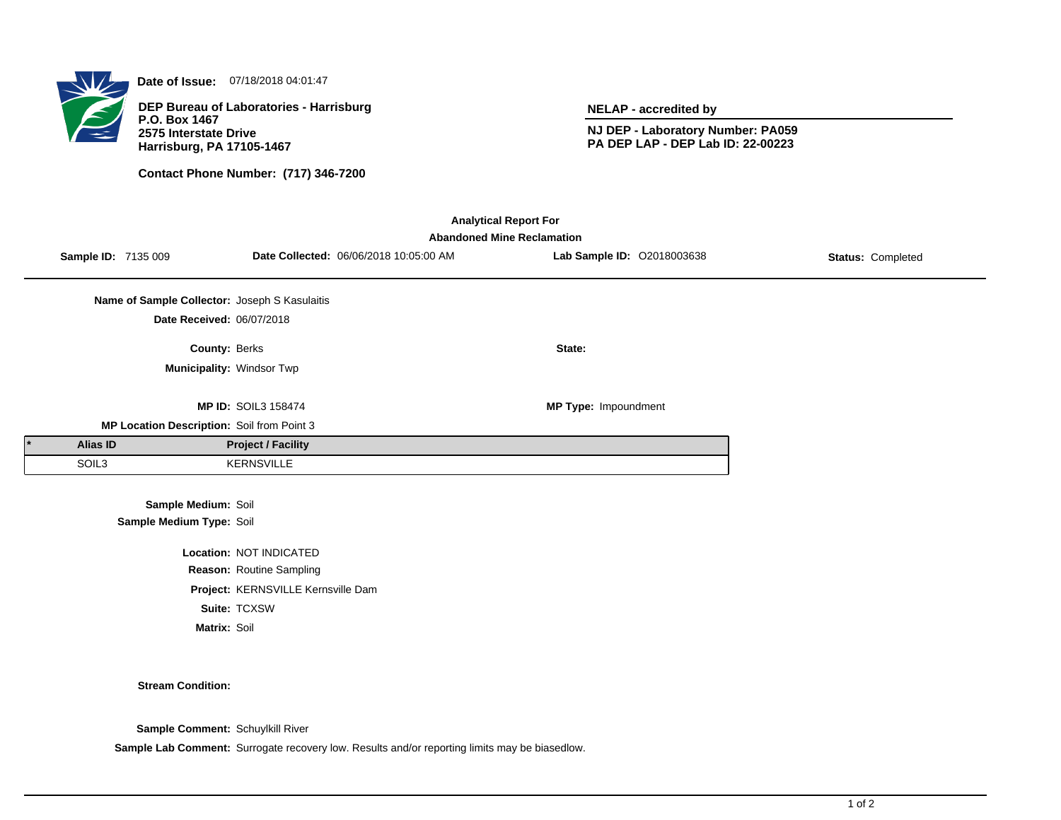

**Date of Issue:** 07/18/2018 04:01:47

**DEP Bureau of Laboratories - Harrisburg P.O. Box 1467 2575 Interstate Drive Harrisburg, PA 17105-1467**

**Contact Phone Number: (717) 346-7200**

**NELAP - accredited by**

**NJ DEP - Laboratory Number: PA059 PA DEP LAP - DEP Lab ID: 22-00223**

| <b>Analytical Report For</b><br><b>Abandoned Mine Reclamation</b> |                                                 |                                    |                                        |                            |                   |  |  |  |  |
|-------------------------------------------------------------------|-------------------------------------------------|------------------------------------|----------------------------------------|----------------------------|-------------------|--|--|--|--|
|                                                                   | <b>Sample ID: 7135 009</b>                      |                                    | Date Collected: 06/06/2018 10:05:00 AM | Lab Sample ID: 02018003638 | Status: Completed |  |  |  |  |
|                                                                   | Name of Sample Collector: Joseph S Kasulaitis   |                                    |                                        |                            |                   |  |  |  |  |
|                                                                   | Date Received: 06/07/2018                       |                                    |                                        |                            |                   |  |  |  |  |
|                                                                   | County: Berks                                   |                                    |                                        | State:                     |                   |  |  |  |  |
|                                                                   | Municipality: Windsor Twp                       |                                    |                                        |                            |                   |  |  |  |  |
|                                                                   |                                                 | <b>MP ID: SOIL3 158474</b>         |                                        | MP Type: Impoundment       |                   |  |  |  |  |
|                                                                   | MP Location Description: Soil from Point 3      |                                    |                                        |                            |                   |  |  |  |  |
| <b>Alias ID</b>                                                   |                                                 | <b>Project / Facility</b>          |                                        |                            |                   |  |  |  |  |
| SOIL3                                                             |                                                 | <b>KERNSVILLE</b>                  |                                        |                            |                   |  |  |  |  |
|                                                                   | Sample Medium: Soil<br>Sample Medium Type: Soil |                                    |                                        |                            |                   |  |  |  |  |
|                                                                   |                                                 | Location: NOT INDICATED            |                                        |                            |                   |  |  |  |  |
|                                                                   |                                                 | Reason: Routine Sampling           |                                        |                            |                   |  |  |  |  |
|                                                                   |                                                 | Project: KERNSVILLE Kernsville Dam |                                        |                            |                   |  |  |  |  |
|                                                                   |                                                 | Suite: TCXSW                       |                                        |                            |                   |  |  |  |  |
|                                                                   | Matrix: Soil                                    |                                    |                                        |                            |                   |  |  |  |  |

## **Stream Condition:**

**Sample Comment:** Schuylkill River

**Sample Lab Comment:** Surrogate recovery low. Results and/or reporting limits may be biasedlow.